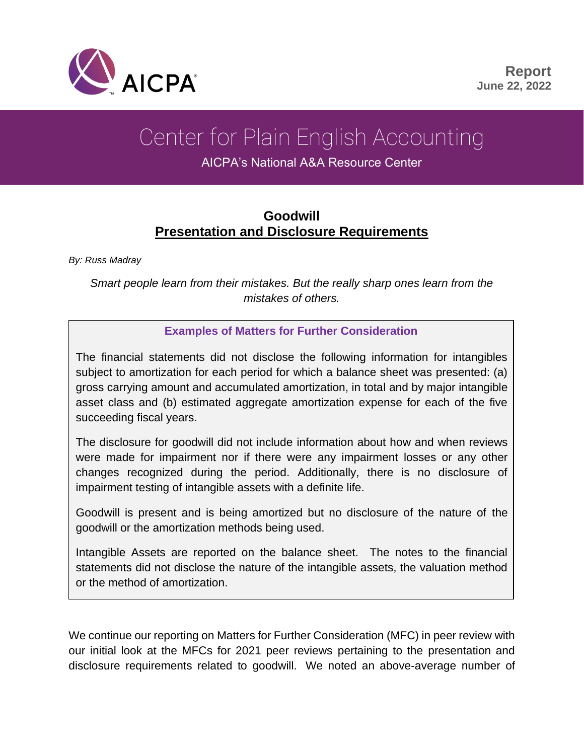

# Center for Plain English Accounting

AICPA's National A&A Resource Center

# **Goodwill Presentation and Disclosure Requirements**

*By: Russ Madray*

*Smart people learn from their mistakes. But the really sharp ones learn from the mistakes of others.*

#### **Examples of Matters for Further Consideration**

The financial statements did not disclose the following information for intangibles subject to amortization for each period for which a balance sheet was presented: (a) gross carrying amount and accumulated amortization, in total and by major intangible asset class and (b) estimated aggregate amortization expense for each of the five succeeding fiscal years.

The disclosure for goodwill did not include information about how and when reviews were made for impairment nor if there were any impairment losses or any other changes recognized during the period. Additionally, there is no disclosure of impairment testing of intangible assets with a definite life.

Goodwill is present and is being amortized but no disclosure of the nature of the goodwill or the amortization methods being used.

Intangible Assets are reported on the balance sheet. The notes to the financial statements did not disclose the nature of the intangible assets, the valuation method or the method of amortization.

We continue our reporting on Matters for Further Consideration (MFC) in peer review with our initial look at the MFCs for 2021 peer reviews pertaining to the presentation and disclosure requirements related to goodwill. We noted an above-average number of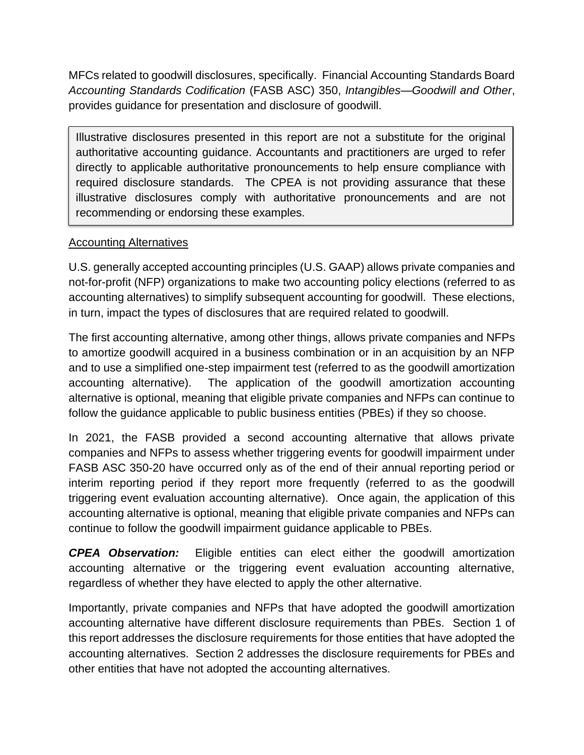MFCs related to goodwill disclosures, specifically. Financial Accounting Standards Board *Accounting Standards Codification* (FASB ASC) 350, *Intangibles—Goodwill and Other*, provides guidance for presentation and disclosure of goodwill.

Illustrative disclosures presented in this report are not a substitute for the original authoritative accounting guidance. Accountants and practitioners are urged to refer directly to applicable authoritative pronouncements to help ensure compliance with required disclosure standards. The CPEA is not providing assurance that these illustrative disclosures comply with authoritative pronouncements and are not recommending or endorsing these examples.

#### Accounting Alternatives

U.S. generally accepted accounting principles (U.S. GAAP) allows private companies and not-for-profit (NFP) organizations to make two accounting policy elections (referred to as accounting alternatives) to simplify subsequent accounting for goodwill. These elections, in turn, impact the types of disclosures that are required related to goodwill.

The first accounting alternative, among other things, allows private companies and NFPs to amortize goodwill acquired in a business combination or in an acquisition by an NFP and to use a simplified one-step impairment test (referred to as the goodwill amortization accounting alternative). The application of the goodwill amortization accounting alternative is optional, meaning that eligible private companies and NFPs can continue to follow the guidance applicable to public business entities (PBEs) if they so choose.

In 2021, the FASB provided a second accounting alternative that allows private companies and NFPs to assess whether triggering events for goodwill impairment under FASB ASC 350-20 have occurred only as of the end of their annual reporting period or interim reporting period if they report more frequently (referred to as the goodwill triggering event evaluation accounting alternative). Once again, the application of this accounting alternative is optional, meaning that eligible private companies and NFPs can continue to follow the goodwill impairment guidance applicable to PBEs.

*CPEA Observation:* Eligible entities can elect either the goodwill amortization accounting alternative or the triggering event evaluation accounting alternative, regardless of whether they have elected to apply the other alternative.

Importantly, private companies and NFPs that have adopted the goodwill amortization accounting alternative have different disclosure requirements than PBEs. Section 1 of this report addresses the disclosure requirements for those entities that have adopted the accounting alternatives. Section 2 addresses the disclosure requirements for PBEs and other entities that have not adopted the accounting alternatives.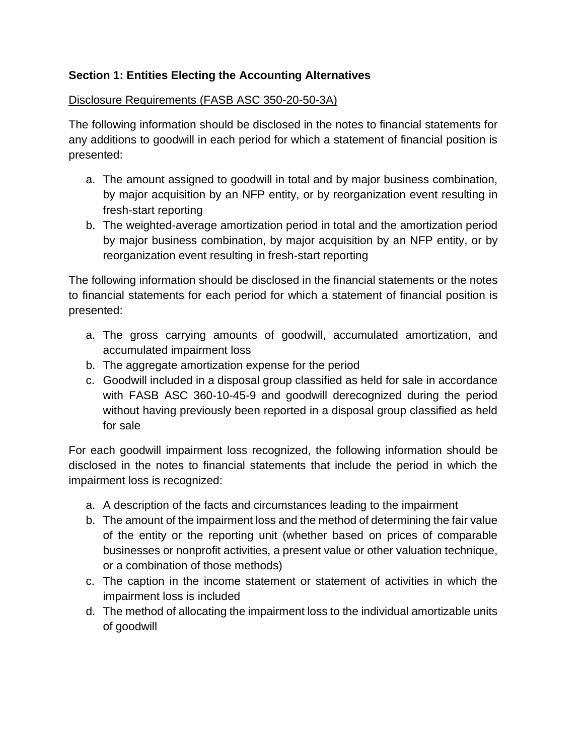## **Section 1: Entities Electing the Accounting Alternatives**

#### Disclosure Requirements (FASB ASC 350-20-50-3A)

The following information should be disclosed in the notes to financial statements for any additions to goodwill in each period for which a statement of financial position is presented:

- a. The amount assigned to goodwill in total and by major business combination, by major acquisition by an NFP entity, or by reorganization event resulting in fresh-start reporting
- b. The weighted-average amortization period in total and the amortization period by major business combination, by major acquisition by an NFP entity, or by reorganization event resulting in fresh-start reporting

The following information should be disclosed in the financial statements or the notes to financial statements for each period for which a statement of financial position is presented:

- a. The gross carrying amounts of goodwill, accumulated amortization, and accumulated impairment loss
- b. The aggregate amortization expense for the period
- c. Goodwill included in a disposal group classified as held for sale in accordance with FASB ASC 360-10-45-9 and goodwill derecognized during the period without having previously been reported in a disposal group classified as held for sale

For each goodwill impairment loss recognized, the following information should be disclosed in the notes to financial statements that include the period in which the impairment loss is recognized:

- a. A description of the facts and circumstances leading to the impairment
- b. The amount of the impairment loss and the method of determining the fair value of the entity or the reporting unit (whether based on prices of comparable businesses or nonprofit activities, a present value or other valuation technique, or a combination of those methods)
- c. The caption in the income statement or statement of activities in which the impairment loss is included
- d. The method of allocating the impairment loss to the individual amortizable units of goodwill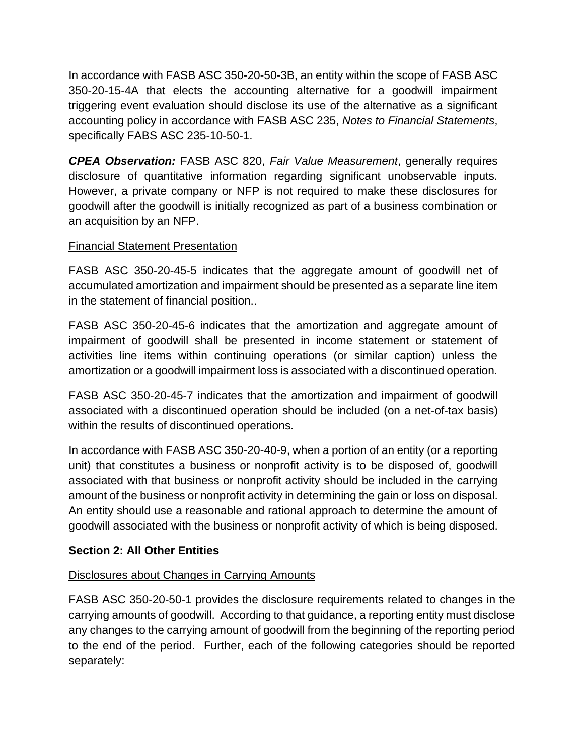In accordance with FASB ASC 350-20-50-3B, an entity within the scope of FASB ASC 350-20-15-4A that elects the accounting alternative for a goodwill impairment triggering event evaluation should disclose its use of the alternative as a significant accounting policy in accordance with FASB ASC 235, *Notes to Financial Statements*, specifically FABS ASC 235-10-50-1.

*CPEA Observation:* FASB ASC 820, *Fair Value Measurement*, generally requires disclosure of quantitative information regarding significant unobservable inputs. However, a private company or NFP is not required to make these disclosures for goodwill after the goodwill is initially recognized as part of a business combination or an acquisition by an NFP.

## Financial Statement Presentation

FASB ASC 350-20-45-5 indicates that the aggregate amount of goodwill net of accumulated amortization and impairment should be presented as a separate line item in the statement of financial position..

FASB ASC 350-20-45-6 indicates that the amortization and aggregate amount of impairment of goodwill shall be presented in income statement or statement of activities line items within continuing operations (or similar caption) unless the amortization or a goodwill impairment loss is associated with a discontinued operation.

FASB ASC 350-20-45-7 indicates that the amortization and impairment of goodwill associated with a discontinued operation should be included (on a net-of-tax basis) within the results of discontinued operations.

In accordance with FASB ASC 350-20-40-9, when a portion of an entity (or a reporting unit) that constitutes a business or nonprofit activity is to be disposed of, goodwill associated with that business or nonprofit activity should be included in the carrying amount of the business or nonprofit activity in determining the gain or loss on disposal. An entity should use a reasonable and rational approach to determine the amount of goodwill associated with the business or nonprofit activity of which is being disposed.

#### **Section 2: All Other Entities**

#### Disclosures about Changes in Carrying Amounts

FASB ASC 350-20-50-1 provides the disclosure requirements related to changes in the carrying amounts of goodwill. According to that guidance, a reporting entity must disclose any changes to the carrying amount of goodwill from the beginning of the reporting period to the end of the period. Further, each of the following categories should be reported separately: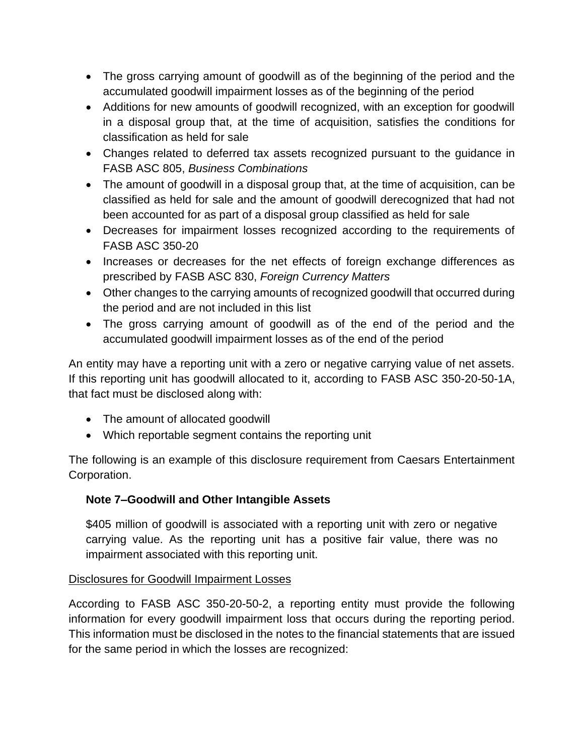- The gross carrying amount of goodwill as of the beginning of the period and the accumulated goodwill impairment losses as of the beginning of the period
- Additions for new amounts of goodwill recognized, with an exception for goodwill in a disposal group that, at the time of acquisition, satisfies the conditions for classification as held for sale
- Changes related to deferred tax assets recognized pursuant to the guidance in FASB ASC 805, *Business Combinations*
- The amount of goodwill in a disposal group that, at the time of acquisition, can be classified as held for sale and the amount of goodwill derecognized that had not been accounted for as part of a disposal group classified as held for sale
- Decreases for impairment losses recognized according to the requirements of FASB ASC 350-20
- Increases or decreases for the net effects of foreign exchange differences as prescribed by FASB ASC 830, *Foreign Currency Matters*
- Other changes to the carrying amounts of recognized goodwill that occurred during the period and are not included in this list
- The gross carrying amount of goodwill as of the end of the period and the accumulated goodwill impairment losses as of the end of the period

An entity may have a reporting unit with a zero or negative carrying value of net assets. If this reporting unit has goodwill allocated to it, according to FASB ASC 350-20-50-1A, that fact must be disclosed along with:

- The amount of allocated goodwill
- Which reportable segment contains the reporting unit

The following is an example of this disclosure requirement from Caesars Entertainment Corporation.

## **Note 7–Goodwill and Other Intangible Assets**

\$405 million of goodwill is associated with a reporting unit with zero or negative carrying value. As the reporting unit has a positive fair value, there was no impairment associated with this reporting unit.

## Disclosures for Goodwill Impairment Losses

According to FASB ASC 350-20-50-2, a reporting entity must provide the following information for every goodwill impairment loss that occurs during the reporting period. This information must be disclosed in the notes to the financial statements that are issued for the same period in which the losses are recognized: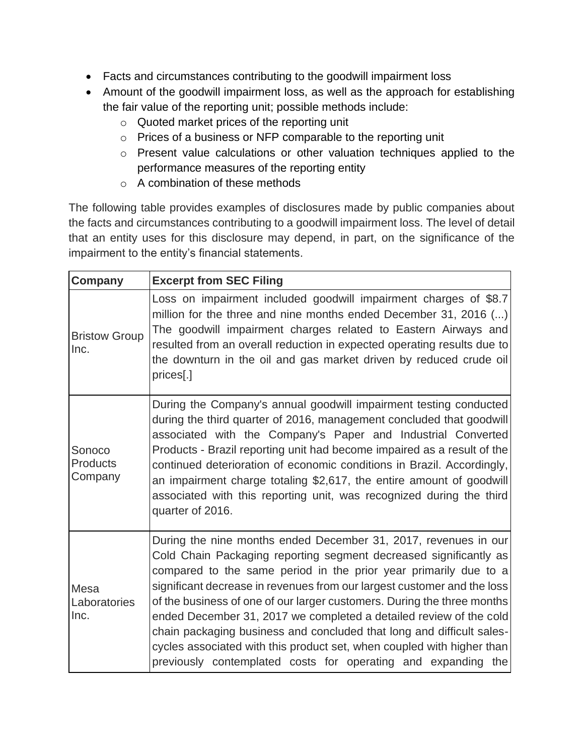- Facts and circumstances contributing to the goodwill impairment loss
- Amount of the goodwill impairment loss, as well as the approach for establishing the fair value of the reporting unit; possible methods include:
	- o Quoted market prices of the reporting unit
	- o Prices of a business or NFP comparable to the reporting unit
	- o Present value calculations or other valuation techniques applied to the performance measures of the reporting entity
	- o A combination of these methods

The following table provides examples of disclosures made by public companies about the facts and circumstances contributing to a goodwill impairment loss. The level of detail that an entity uses for this disclosure may depend, in part, on the significance of the impairment to the entity's financial statements.

| Company                              | <b>Excerpt from SEC Filing</b>                                                                                                                                                                                                                                                                                                                                                                                                                                                                                                                                                                                                                           |
|--------------------------------------|----------------------------------------------------------------------------------------------------------------------------------------------------------------------------------------------------------------------------------------------------------------------------------------------------------------------------------------------------------------------------------------------------------------------------------------------------------------------------------------------------------------------------------------------------------------------------------------------------------------------------------------------------------|
| <b>Bristow Group</b><br>Inc.         | Loss on impairment included goodwill impairment charges of \$8.7<br>million for the three and nine months ended December 31, 2016 ()<br>The goodwill impairment charges related to Eastern Airways and<br>resulted from an overall reduction in expected operating results due to<br>the downturn in the oil and gas market driven by reduced crude oil<br>prices[.]                                                                                                                                                                                                                                                                                     |
| Sonoco<br><b>Products</b><br>Company | During the Company's annual goodwill impairment testing conducted<br>during the third quarter of 2016, management concluded that goodwill<br>associated with the Company's Paper and Industrial Converted<br>Products - Brazil reporting unit had become impaired as a result of the<br>continued deterioration of economic conditions in Brazil. Accordingly,<br>an impairment charge totaling \$2,617, the entire amount of goodwill<br>associated with this reporting unit, was recognized during the third<br>quarter of 2016.                                                                                                                       |
| Mesa<br>Laboratories<br>Inc.         | During the nine months ended December 31, 2017, revenues in our<br>Cold Chain Packaging reporting segment decreased significantly as<br>compared to the same period in the prior year primarily due to a<br>significant decrease in revenues from our largest customer and the loss<br>of the business of one of our larger customers. During the three months<br>ended December 31, 2017 we completed a detailed review of the cold<br>chain packaging business and concluded that long and difficult sales-<br>cycles associated with this product set, when coupled with higher than<br>previously contemplated costs for operating and expanding the |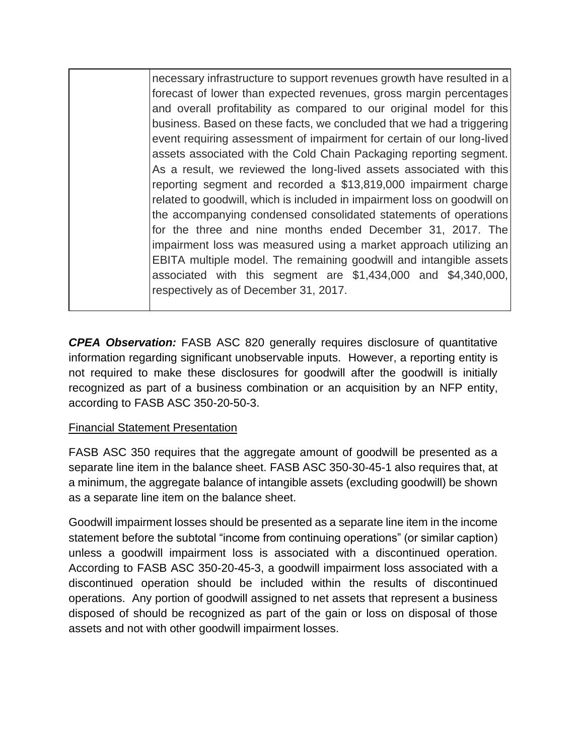necessary infrastructure to support revenues growth have resulted in a forecast of lower than expected revenues, gross margin percentages and overall profitability as compared to our original model for this business. Based on these facts, we concluded that we had a triggering event requiring assessment of impairment for certain of our long-lived assets associated with the Cold Chain Packaging reporting segment. As a result, we reviewed the long-lived assets associated with this reporting segment and recorded a \$13,819,000 impairment charge related to goodwill, which is included in impairment loss on goodwill on the accompanying condensed consolidated statements of operations for the three and nine months ended December 31, 2017. The impairment loss was measured using a market approach utilizing an EBITA multiple model. The remaining goodwill and intangible assets associated with this segment are \$1,434,000 and \$4,340,000, respectively as of December 31, 2017.

*CPEA Observation:* FASB ASC 820 generally requires disclosure of quantitative information regarding significant unobservable inputs. However, a reporting entity is not required to make these disclosures for goodwill after the goodwill is initially recognized as part of a business combination or an acquisition by an NFP entity, according to FASB ASC 350-20-50-3.

#### Financial Statement Presentation

FASB ASC 350 requires that the aggregate amount of goodwill be presented as a separate line item in the balance sheet. FASB ASC 350-30-45-1 also requires that, at a minimum, the aggregate balance of intangible assets (excluding goodwill) be shown as a separate line item on the balance sheet.

Goodwill impairment losses should be presented as a separate line item in the income statement before the subtotal "income from continuing operations" (or similar caption) unless a goodwill impairment loss is associated with a discontinued operation. According to FASB ASC 350-20-45-3, a goodwill impairment loss associated with a discontinued operation should be included within the results of discontinued operations. Any portion of goodwill assigned to net assets that represent a business disposed of should be recognized as part of the gain or loss on disposal of those assets and not with other goodwill impairment losses.